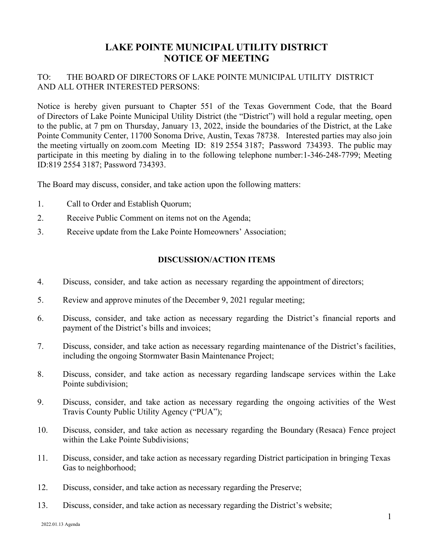## **LAKE POINTE MUNICIPAL UTILITY DISTRICT NOTICE OF MEETING**

## TO: THE BOARD OF DIRECTORS OF LAKE POINTE MUNICIPAL UTILITY DISTRICT AND ALL OTHER INTERESTED PERSONS:

Notice is hereby given pursuant to Chapter 551 of the Texas Government Code, that the Board of Directors of Lake Pointe Municipal Utility District (the "District") will hold a regular meeting, open to the public, at 7 pm on Thursday, January 13, 2022, inside the boundaries of the District, at the Lake Pointe Community Center, 11700 Sonoma Drive, Austin, Texas 78738. Interested parties may also join the meeting virtually on zoom.com Meeting ID: 819 2554 3187; Password 734393. The public may participate in this meeting by dialing in to the following telephone number:1-346-248-7799; Meeting ID:819 2554 3187; Password 734393.

The Board may discuss, consider, and take action upon the following matters:

- 1. Call to Order and Establish Quorum;
- 2. Receive Public Comment on items not on the Agenda;
- 3. Receive update from the Lake Pointe Homeowners' Association;

## **DISCUSSION/ACTION ITEMS**

- 4. Discuss, consider, and take action as necessary regarding the appointment of directors;
- 5. Review and approve minutes of the December 9, 2021 regular meeting;
- 6. Discuss, consider, and take action as necessary regarding the District's financial reports and payment of the District's bills and invoices;
- 7. Discuss, consider, and take action as necessary regarding maintenance of the District's facilities, including the ongoing Stormwater Basin Maintenance Project;
- 8. Discuss, consider, and take action as necessary regarding landscape services within the Lake Pointe subdivision;
- 9. Discuss, consider, and take action as necessary regarding the ongoing activities of the West Travis County Public Utility Agency ("PUA");
- 10. Discuss, consider, and take action as necessary regarding the Boundary (Resaca) Fence project within the Lake Pointe Subdivisions;
- 11. Discuss, consider, and take action as necessary regarding District participation in bringing Texas Gas to neighborhood;
- 12. Discuss, consider, and take action as necessary regarding the Preserve;
- 13. Discuss, consider, and take action as necessary regarding the District's website;